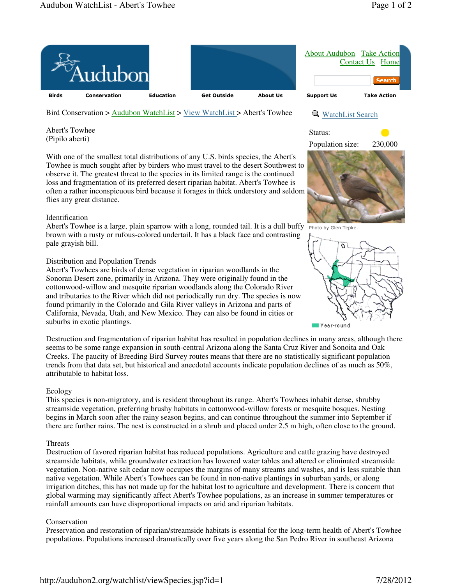

Bird Conservation > Audubon WatchList > View WatchList > Abert's Towhee

Abert's Towhee (Pipilo aberti)

With one of the smallest total distributions of any U.S. birds species, the Abert's Towhee is much sought after by birders who must travel to the desert Southwest to observe it. The greatest threat to the species in its limited range is the continued loss and fragmentation of its preferred desert riparian habitat. Abert's Towhee is often a rather inconspicuous bird because it forages in thick understory and seldom flies any great distance.

### Identification

Abert's Towhee is a large, plain sparrow with a long, rounded tail. It is a dull buffy  $\frac{p_{\text{hoto by Glenn Tepke.}}}{p_{\text{hoto by Glenn Tepke.}}}$ brown with a rusty or rufous-colored undertail. It has a black face and contrasting pale grayish bill.

# Distribution and Population Trends

Abert's Towhees are birds of dense vegetation in riparian woodlands in the Sonoran Desert zone, primarily in Arizona. They were originally found in the cottonwood-willow and mesquite riparian woodlands along the Colorado River and tributaries to the River which did not periodically run dry. The species is now found primarily in the Colorado and Gila River valleys in Arizona and parts of California, Nevada, Utah, and New Mexico. They can also be found in cities or suburbs in exotic plantings.

Destruction and fragmentation of riparian habitat has resulted in population declines in many areas, although there seems to be some range expansion in south-central Arizona along the Santa Cruz River and Sonoita and Oak Creeks. The paucity of Breeding Bird Survey routes means that there are no statistically significant population trends from that data set, but historical and anecdotal accounts indicate population declines of as much as 50%, attributable to habitat loss.

# Ecology

This species is non-migratory, and is resident throughout its range. Abert's Towhees inhabit dense, shrubby streamside vegetation, preferring brushy habitats in cottonwood-willow forests or mesquite bosques. Nesting begins in March soon after the rainy season begins, and can continue throughout the summer into September if there are further rains. The nest is constructed in a shrub and placed under 2.5 m high, often close to the ground.

### Threats

Destruction of favored riparian habitat has reduced populations. Agriculture and cattle grazing have destroyed streamside habitats, while groundwater extraction has lowered water tables and altered or eliminated streamside vegetation. Non-native salt cedar now occupies the margins of many streams and washes, and is less suitable than native vegetation. While Abert's Towhees can be found in non-native plantings in suburban yards, or along irrigation ditches, this has not made up for the habitat lost to agriculture and development. There is concern that global warming may significantly affect Abert's Towhee populations, as an increase in summer temperatures or rainfall amounts can have disproportional impacts on arid and riparian habitats.

# Conservation

Preservation and restoration of riparian/streamside habitats is essential for the long-term health of Abert's Towhee populations. Populations increased dramatically over five years along the San Pedro River in southeast Arizona